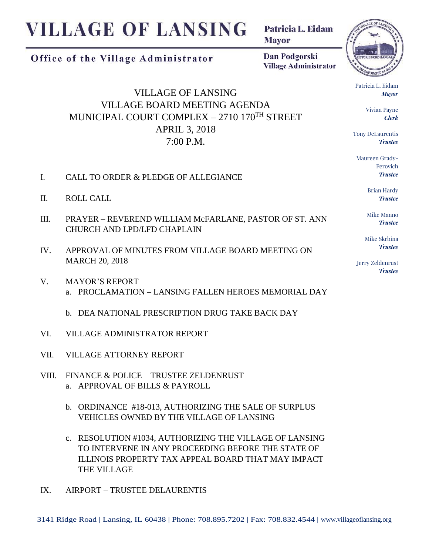## **VILLAGE OF LANSING**

Office of the Village Administrator

Patricia L. Eidam **Mayor** 

Dan Podgorski **Village Administrator** 

VILLAGE OF LANSING VILLAGE BOARD MEETING AGENDA MUNICIPAL COURT COMPLEX – 2710 170TH STREET APRIL 3, 2018 7:00 P.M.

- I. CALL TO ORDER & PLEDGE OF ALLEGIANCE
- II. ROLL CALL
- III. PRAYER REVEREND WILLIAM McFARLANE, PASTOR OF ST. ANN CHURCH AND LPD/LFD CHAPLAIN
- IV. APPROVAL OF MINUTES FROM VILLAGE BOARD MEETING ON MARCH 20, 2018
- V. MAYOR'S REPORT a. PROCLAMATION – LANSING FALLEN HEROES MEMORIAL DAY
	- b. DEA NATIONAL PRESCRIPTION DRUG TAKE BACK DAY
- VI. VILLAGE ADMINISTRATOR REPORT
- VII. VILLAGE ATTORNEY REPORT
- VIII. FINANCE & POLICE TRUSTEE ZELDENRUST a. APPROVAL OF BILLS & PAYROLL
	- b. ORDINANCE #18-013, AUTHORIZING THE SALE OF SURPLUS VEHICLES OWNED BY THE VILLAGE OF LANSING
	- c. RESOLUTION #1034, AUTHORIZING THE VILLAGE OF LANSING TO INTERVENE IN ANY PROCEEDING BEFORE THE STATE OF ILLINOIS PROPERTY TAX APPEAL BOARD THAT MAY IMPACT THE VILLAGE
- IX. AIRPORT TRUSTEE DELAURENTIS



Patricia L. Eidam *Mayor*

> Vivian Payne *Clerk*

Tony DeLaurentis *Trustee*

Maureen Grady-Perovich *Trustee*

> Brian Hardy *Trustee*

Mike Manno *Trustee*

Mike Skrbina *Trustee*

Jerry Zeldenrust *Trustee*